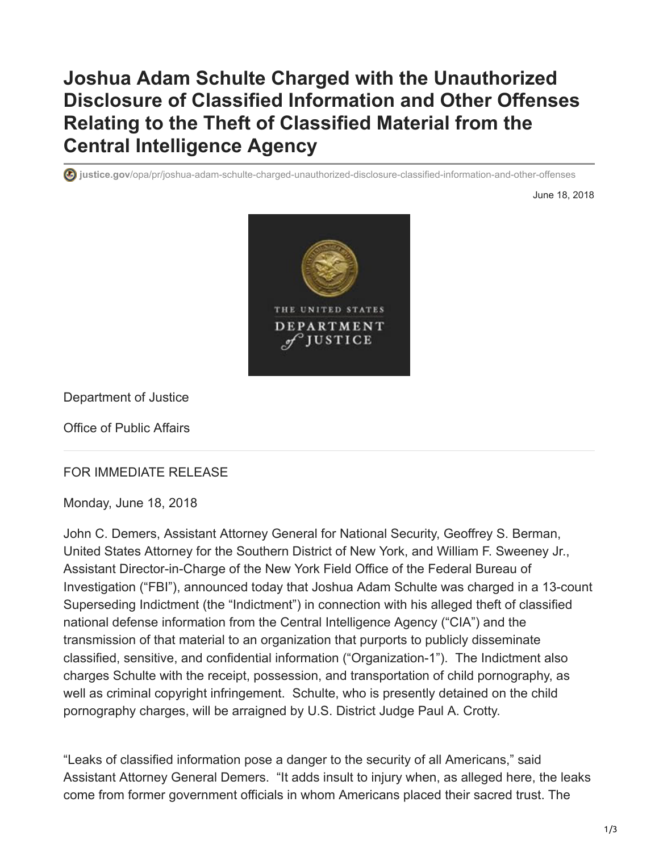## **Joshua Adam Schulte Charged with the Unauthorized Disclosure of Classified Information and Other Offenses Relating to the Theft of Classified Material from the Central Intelligence Agency**

**justice.gov**[/opa/pr/joshua-adam-schulte-charged-unauthorized-disclosure-classified-information-and-other-offenses](https://www.justice.gov/opa/pr/joshua-adam-schulte-charged-unauthorized-disclosure-classified-information-and-other-offenses)

June 18, 2018



Department of Justice

Office of Public Affairs

## FOR IMMEDIATE RELEASE

Monday, June 18, 2018

John C. Demers, Assistant Attorney General for National Security, Geoffrey S. Berman, United States Attorney for the Southern District of New York, and William F. Sweeney Jr., Assistant Director-in-Charge of the New York Field Office of the Federal Bureau of Investigation ("FBI"), announced today that Joshua Adam Schulte was charged in a 13-count Superseding Indictment (the "Indictment") in connection with his alleged theft of classified national defense information from the Central Intelligence Agency ("CIA") and the transmission of that material to an organization that purports to publicly disseminate classified, sensitive, and confidential information ("Organization-1"). The Indictment also charges Schulte with the receipt, possession, and transportation of child pornography, as well as criminal copyright infringement. Schulte, who is presently detained on the child pornography charges, will be arraigned by U.S. District Judge Paul A. Crotty.

"Leaks of classified information pose a danger to the security of all Americans," said Assistant Attorney General Demers. "It adds insult to injury when, as alleged here, the leaks come from former government officials in whom Americans placed their sacred trust. The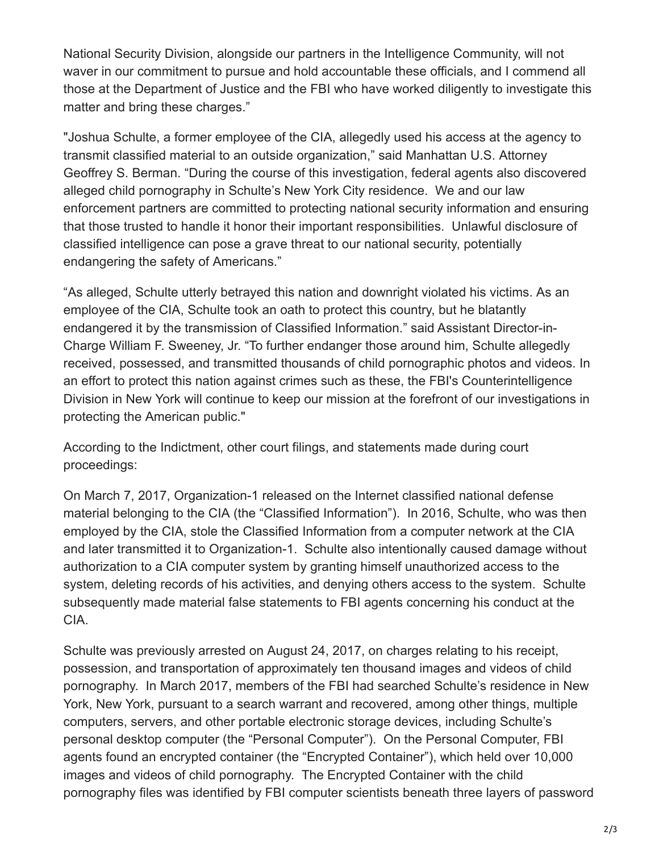National Security Division, alongside our partners in the Intelligence Community, will not waver in our commitment to pursue and hold accountable these officials, and I commend all those at the Department of Justice and the FBI who have worked diligently to investigate this matter and bring these charges."

"Joshua Schulte, a former employee of the CIA, allegedly used his access at the agency to transmit classified material to an outside organization," said Manhattan U.S. Attorney Geoffrey S. Berman. "During the course of this investigation, federal agents also discovered alleged child pornography in Schulte's New York City residence. We and our law enforcement partners are committed to protecting national security information and ensuring that those trusted to handle it honor their important responsibilities. Unlawful disclosure of classified intelligence can pose a grave threat to our national security, potentially endangering the safety of Americans."

"As alleged, Schulte utterly betrayed this nation and downright violated his victims. As an employee of the CIA, Schulte took an oath to protect this country, but he blatantly endangered it by the transmission of Classified Information." said Assistant Director-in-Charge William F. Sweeney, Jr. "To further endanger those around him, Schulte allegedly received, possessed, and transmitted thousands of child pornographic photos and videos. In an effort to protect this nation against crimes such as these, the FBI's Counterintelligence Division in New York will continue to keep our mission at the forefront of our investigations in protecting the American public."

According to the Indictment, other court filings, and statements made during court proceedings:

On March 7, 2017, Organization-1 released on the Internet classified national defense material belonging to the CIA (the "Classified Information"). In 2016, Schulte, who was then employed by the CIA, stole the Classified Information from a computer network at the CIA and later transmitted it to Organization-1. Schulte also intentionally caused damage without authorization to a CIA computer system by granting himself unauthorized access to the system, deleting records of his activities, and denying others access to the system. Schulte subsequently made material false statements to FBI agents concerning his conduct at the CIA.

Schulte was previously arrested on August 24, 2017, on charges relating to his receipt, possession, and transportation of approximately ten thousand images and videos of child pornography. In March 2017, members of the FBI had searched Schulte's residence in New York, New York, pursuant to a search warrant and recovered, among other things, multiple computers, servers, and other portable electronic storage devices, including Schulte's personal desktop computer (the "Personal Computer"). On the Personal Computer, FBI agents found an encrypted container (the "Encrypted Container"), which held over 10,000 images and videos of child pornography. The Encrypted Container with the child pornography files was identified by FBI computer scientists beneath three layers of password